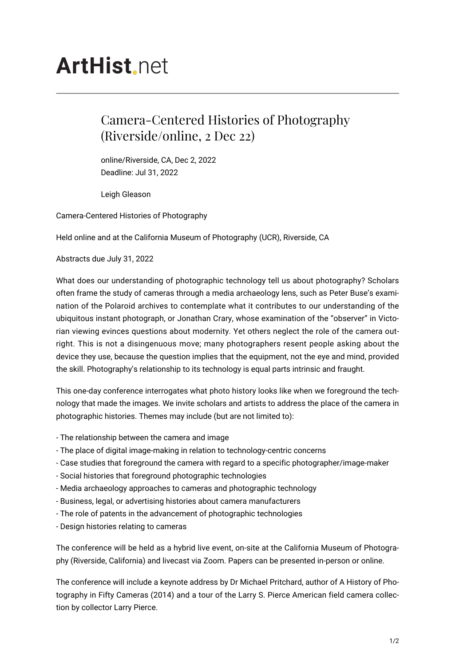## **ArtHist** net

## Camera-Centered Histories of Photography (Riverside/online, 2 Dec 22)

online/Riverside, CA, Dec 2, 2022 Deadline: Jul 31, 2022

Leigh Gleason

Camera-Centered Histories of Photography

Held online and at the California Museum of Photography (UCR), Riverside, CA

Abstracts due July 31, 2022

What does our understanding of photographic technology tell us about photography? Scholars often frame the study of cameras through a media archaeology lens, such as Peter Buse's examination of the Polaroid archives to contemplate what it contributes to our understanding of the ubiquitous instant photograph, or Jonathan Crary, whose examination of the "observer" in Victorian viewing evinces questions about modernity. Yet others neglect the role of the camera outright. This is not a disingenuous move; many photographers resent people asking about the device they use, because the question implies that the equipment, not the eye and mind, provided the skill. Photography's relationship to its technology is equal parts intrinsic and fraught.

This one-day conference interrogates what photo history looks like when we foreground the technology that made the images. We invite scholars and artists to address the place of the camera in photographic histories. Themes may include (but are not limited to):

- The relationship between the camera and image
- The place of digital image-making in relation to technology-centric concerns
- Case studies that foreground the camera with regard to a specific photographer/image-maker
- Social histories that foreground photographic technologies
- Media archaeology approaches to cameras and photographic technology
- Business, legal, or advertising histories about camera manufacturers
- The role of patents in the advancement of photographic technologies
- Design histories relating to cameras

The conference will be held as a hybrid live event, on-site at the California Museum of Photography (Riverside, California) and livecast via Zoom. Papers can be presented in-person or online.

The conference will include a keynote address by Dr Michael Pritchard, author of A History of Photography in Fifty Cameras (2014) and a tour of the Larry S. Pierce American field camera collection by collector Larry Pierce.